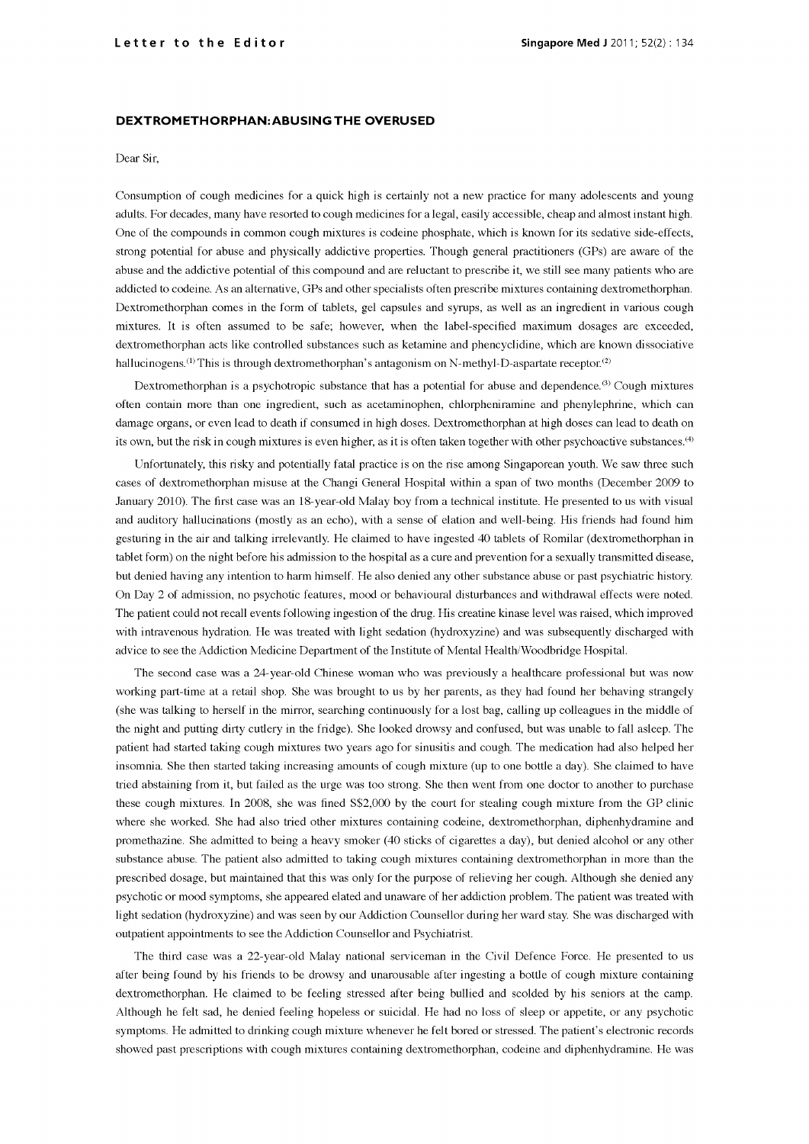## DEXTROMETHORPHAN:ABUSING THE OVERUSED

## Dear Sir,

Consumption of cough medicines for a quick high is certainly not a new practice for many adolescents and young adults. For decades, many have resorted to cough medicines for a legal, easily accessible, cheap and almost instant high. One of the compounds in common cough mixtures is codeine phosphate, which is known for its sedative side -effects, strong potential for abuse and physically addictive properties. Though general practitioners (GPs) are aware of the abuse and the addictive potential of this compound and are reluctant to prescribe it, we still see many patients who are addicted to codeine. As an alternative, GPs and other specialists often prescribe mixtures containing Dextromethorphan comes in the form of tablets, gel capsules and syrups, as well as an ingredient in various cough mixtures. It is often assumed to be safe; however, when the label -specified maximum dosages are exceeded, dextromethorphan acts like controlled substances such as ketamine and phencyclidine, which are known dissociative hallucinogens.<sup>(1)</sup> This is through dextromethorphan's antagonism on N-methyl-D-aspartate receptor.<sup>(2)</sup>

Dextromethorphan is a psychotropic substance that has a potential for abuse and dependence.<sup>(3)</sup> Cough mixtures often contain more than one ingredient, such as acetaminophen, chlorpheniramine and phenylephrine, which can damage organs, or even lead to death if consumed in high doses. Dextromethorphan at high doses can lead to death on its own, but the risk in cough mixtures is even higher, as it is often taken together with other psychoactive substances.<sup>(4)</sup>

Unfortunately, this risky and potentially fatal practice is on the rise among Singaporean youth. We saw three such cases of dextromethorphan misuse at the Changi General Hospital within a span of two months (December 2009 to January 2010). The first case was an 18-year-old Malay boy from a technical institute. He presented to us with visual and auditory hallucinations (mostly as an echo), with a sense of elation and well-being. His friends had found him gesturing in the air and talking irrelevantly. He claimed to have ingested 40 tablets of Romilar (dextromethorphan in tablet form) on the night before his admission to the hospital as a cure and prevention for a sexually transmitted disease, but denied having any intention to harm himself. He also denied any other substance abuse or past psychiatric history. On Day 2 of admission, no psychotic features, mood or behavioural disturbances and withdrawal effects were noted. The patient could not recall events following ingestion of the drug. His creatine kinase level was raised, which improved with intravenous hydration. He was treated with light sedation (hydroxyzine) and was subsequently discharged with advice to see the Addiction Medicine Department of the Institute of Mental Health/Woodbridge Hospital.

The second case was a 24 -year -old Chinese woman who was previously a healthcare professional but was now working part-time at a retail shop. She was brought to us by her parents, as they had found her behaving strangely (she was talking to herself in the mirror, searching continuously for a lost bag, calling up colleagues in the middle of the night and putting dirty cutlery in the fridge). She looked drowsy and confused, but was unable to fall asleep. The patient had started taking cough mixtures two years ago for sinusitis and cough. The medication had also helped her insomnia. She then started taking increasing amounts of cough mixture (up to one bottle a day). She claimed to have tried abstaining from it, but failed as the urge was too strong. She then went from one doctor to another to purchase these cough mixtures. In 2008, she was fined S\$2,000 by the court for stealing cough mixture from the GP clinic where she worked. She had also tried other mixtures containing codeine, dextromethorphan, diphenhydramine and promethazine. She admitted to being a heavy smoker (40 sticks of cigarettes a day), but denied alcohol or any other substance abuse. The patient also admitted to taking cough mixtures containing dextromethorphan in more than the prescribed dosage, but maintained that this was only for the purpose of relieving her cough. Although she denied any psychotic or mood symptoms, she appeared elated and unaware of her addiction problem. The patient was treated with light sedation (hydroxyzine) and was seen by our Addiction Counsellor during her ward stay. She was discharged with outpatient appointments to see the Addiction Counsellor and Psychiatrist.

The third case was a 22 -year -old Malay national serviceman in the Civil Defence Force. He presented to us after being found by his friends to be drowsy and unarousable after ingesting a bottle of cough mixture containing dextromethorphan. He claimed to be feeling stressed after being bullied and scolded by his seniors at the camp. Although he felt sad, he denied feeling hopeless or suicidal. He had no loss of sleep or appetite, or any psychotic symptoms. He admitted to drinking cough mixture whenever he felt bored or stressed. The patient's electronic records showed past prescriptions with cough mixtures containing dextromethorphan, codeine and diphenhydramine. He was